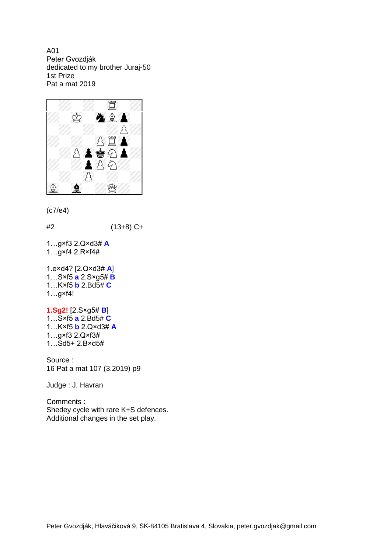A01 Peter Gvozdják dedicated to my brother Juraj-50 1st Prize Pat a mat 2019



```
(c7/e4)
```
#2 (13+8) C+

1…g×f3 2.Q×d3# **A** 1…g×f4 2.R×f4#

```
1.e×d4? [2.Q×d3# A]
1…S×f5 a 2.S×g5# B
1…K×f5 b 2.Bd5# C
1…g×f4!
```
**1.Sg2!** [2.S×g5# **B**] 1…S×f5 **a** 2.Bd5# **C** 1…K×f5 **b** 2.Q×d3# **A** 1…g×f3 2.Q×f3# 1…Sd5+ 2.B×d5#

Source : 16 Pat a mat 107 (3.2019) p9

Judge : J. Havran

Comments : Shedey cycle with rare K+S defences. Additional changes in the set play.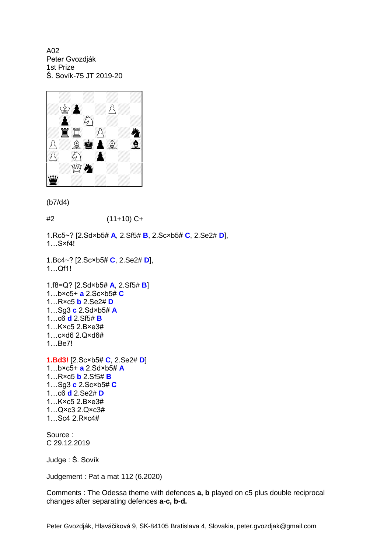A02 Peter Gvozdják 1st Prize Š. Sovík-75 JT 2019-20



(b7/d4)

#2 (11+10) C+

1.Rc5~? [2.Sd×b5# **A**, 2.Sf5# **B**, 2.Sc×b5# **C**, 2.Se2# **D**], 1…S×f4!

1.Bc4~? [2.Sc×b5# **C**, 2.Se2# **D**], 1…Qf1!

1.f8=Q? [2.Sd×b5# **A**, 2.Sf5# **B**] 1…b×c5+ **a** 2.Sc×b5# **C** 1…R×c5 **b** 2.Se2# **D** 1…Sg3 **c** 2.Sd×b5# **A** 1…c6 **d** 2.Sf5# **B** 1…K×c5 2.B×e3# 1…c×d6 2.Q×d6# 1…Be7! **1.Bd3!** [2.Sc×b5# **C**, 2.Se2# **D**] 1…b×c5+ **a** 2.Sd×b5# **A** 1…R×c5 **b** 2.Sf5# **B** 1…Sg3 **c** 2.Sc×b5# **C** 1…c6 **d** 2.Se2# **D**

1…K×c5 2.B×e3# 1…Q×c3 2.Q×c3# 1…Sc4 2.R×c4#

Source : C 29.12.2019

Judge : Š. Sovík

Judgement : Pat a mat 112 (6.2020)

Comments : The Odessa theme with defences **a, b** played on c5 plus double reciprocal changes after separating defences **a-c, b-d.**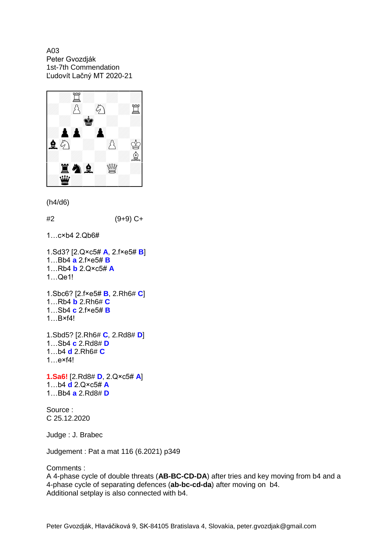A03 Peter Gvozdják 1st-7th Commendation Ľudovít Lačný MT 2020-21



(h4/d6)

#2 (9+9) C+

1…c×b4 2.Qb6#

```
1.Sd3? [2.Q×c5# A, 2.f×e5# B]
1…Bb4 a 2.f×e5# B
1…Rb4 b 2.Q×c5# A
1…Qe1!
1.Sbc6? [2.f×e5# B, 2.Rh6# C]
```

```
1…Rb4 b 2.Rh6# C
1…Sb4 c 2.f×e5# B
1…B×f4!
```

```
1.Sbd5? [2.Rh6# C, 2.Rd8# D]
1…Sb4 c 2.Rd8# D
1…b4 d 2.Rh6# C
1…e×f4!
```

```
1.Sa6! [2.Rd8# D, 2.Q×c5# A]
1…b4 d 2.Q×c5# A
1…Bb4 a 2.Rd8# D
```
Source : C 25.12.2020

Judge : J. Brabec

Judgement : Pat a mat 116 (6.2021) p349

Comments :

A 4-phase cycle of double threats (**AB-BC-CD-DA**) after tries and key moving from b4 and a 4-phase cycle of separating defences (**ab-bc-cd-da**) after moving on b4. Additional setplay is also connected with b4.